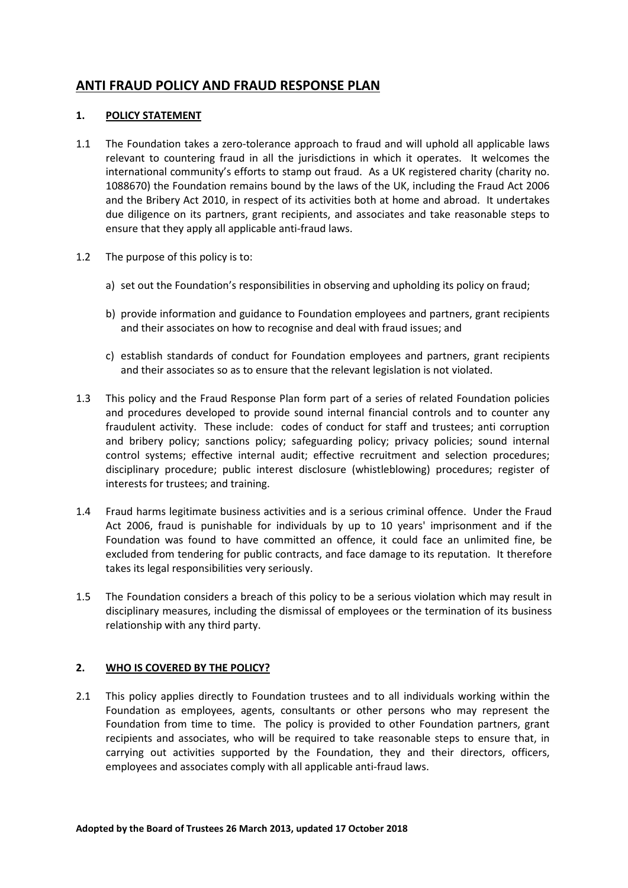# **ANTI FRAUD POLICY AND FRAUD RESPONSE PLAN**

## **1. POLICY STATEMENT**

- 1.1 The Foundation takes a zero-tolerance approach to fraud and will uphold all applicable laws relevant to countering fraud in all the jurisdictions in which it operates. It welcomes the international community's efforts to stamp out fraud. As a UK registered charity (charity no. 1088670) the Foundation remains bound by the laws of the UK, including the Fraud Act 2006 and the Bribery Act 2010, in respect of its activities both at home and abroad. It undertakes due diligence on its partners, grant recipients, and associates and take reasonable steps to ensure that they apply all applicable anti-fraud laws.
- 1.2 The purpose of this policy is to:
	- a) set out the Foundation's responsibilities in observing and upholding its policy on fraud;
	- b) provide information and guidance to Foundation employees and partners, grant recipients and their associates on how to recognise and deal with fraud issues; and
	- c) establish standards of conduct for Foundation employees and partners, grant recipients and their associates so as to ensure that the relevant legislation is not violated.
- 1.3 This policy and the Fraud Response Plan form part of a series of related Foundation policies and procedures developed to provide sound internal financial controls and to counter any fraudulent activity. These include: codes of conduct for staff and trustees; anti corruption and bribery policy; sanctions policy; safeguarding policy; privacy policies; sound internal control systems; effective internal audit; effective recruitment and selection procedures; disciplinary procedure; public interest disclosure (whistleblowing) procedures; register of interests for trustees; and training.
- 1.4 Fraud harms legitimate business activities and is a serious criminal offence. Under the Fraud Act 2006, fraud is punishable for individuals by up to 10 years' imprisonment and if the Foundation was found to have committed an offence, it could face an unlimited fine, be excluded from tendering for public contracts, and face damage to its reputation. It therefore takes its legal responsibilities very seriously.
- 1.5 The Foundation considers a breach of this policy to be a serious violation which may result in disciplinary measures, including the dismissal of employees or the termination of its business relationship with any third party.

## **2. WHO IS COVERED BY THE POLICY?**

2.1 This policy applies directly to Foundation trustees and to all individuals working within the Foundation as employees, agents, consultants or other persons who may represent the Foundation from time to time. The policy is provided to other Foundation partners, grant recipients and associates, who will be required to take reasonable steps to ensure that, in carrying out activities supported by the Foundation, they and their directors, officers, employees and associates comply with all applicable anti-fraud laws.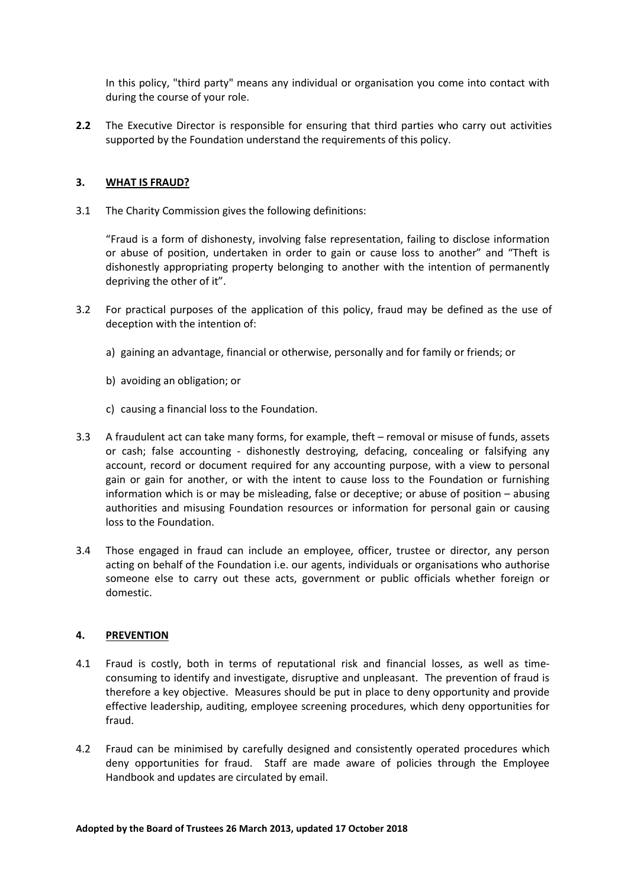In this policy, "third party" means any individual or organisation you come into contact with during the course of your role.

**2.2** The Executive Director is responsible for ensuring that third parties who carry out activities supported by the Foundation understand the requirements of this policy.

## **3. WHAT IS FRAUD?**

3.1 The Charity Commission gives the following definitions:

"Fraud is a form of dishonesty, involving false representation, failing to disclose information or abuse of position, undertaken in order to gain or cause loss to another" and "Theft is dishonestly appropriating property belonging to another with the intention of permanently depriving the other of it".

- 3.2 For practical purposes of the application of this policy, fraud may be defined as the use of deception with the intention of:
	- a) gaining an advantage, financial or otherwise, personally and for family or friends; or
	- b) avoiding an obligation; or
	- c) causing a financial loss to the Foundation.
- 3.3 A fraudulent act can take many forms, for example, theft removal or misuse of funds, assets or cash; false accounting - dishonestly destroying, defacing, concealing or falsifying any account, record or document required for any accounting purpose, with a view to personal gain or gain for another, or with the intent to cause loss to the Foundation or furnishing information which is or may be misleading, false or deceptive; or abuse of position  $-$  abusing authorities and misusing Foundation resources or information for personal gain or causing loss to the Foundation.
- 3.4 Those engaged in fraud can include an employee, officer, trustee or director, any person acting on behalf of the Foundation i.e. our agents, individuals or organisations who authorise someone else to carry out these acts, government or public officials whether foreign or domestic.

## **4. PREVENTION**

- 4.1 Fraud is costly, both in terms of reputational risk and financial losses, as well as timeconsuming to identify and investigate, disruptive and unpleasant. The prevention of fraud is therefore a key objective. Measures should be put in place to deny opportunity and provide effective leadership, auditing, employee screening procedures, which deny opportunities for fraud.
- 4.2 Fraud can be minimised by carefully designed and consistently operated procedures which deny opportunities for fraud. Staff are made aware of policies through the Employee Handbook and updates are circulated by email.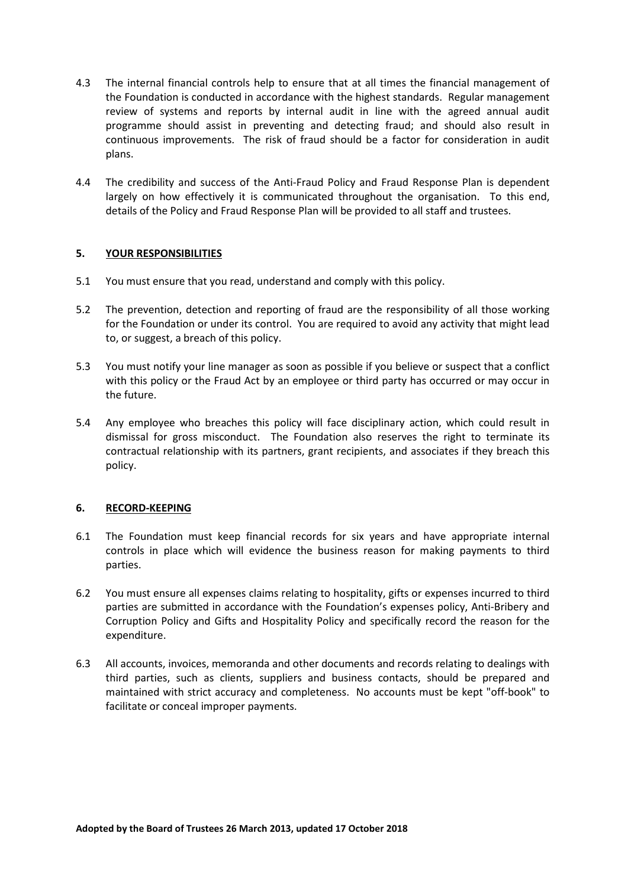- 4.3 The internal financial controls help to ensure that at all times the financial management of the Foundation is conducted in accordance with the highest standards. Regular management review of systems and reports by internal audit in line with the agreed annual audit programme should assist in preventing and detecting fraud; and should also result in continuous improvements. The risk of fraud should be a factor for consideration in audit plans.
- 4.4 The credibility and success of the Anti-Fraud Policy and Fraud Response Plan is dependent largely on how effectively it is communicated throughout the organisation. To this end, details of the Policy and Fraud Response Plan will be provided to all staff and trustees.

## **5. YOUR RESPONSIBILITIES**

- 5.1 You must ensure that you read, understand and comply with this policy.
- 5.2 The prevention, detection and reporting of fraud are the responsibility of all those working for the Foundation or under its control. You are required to avoid any activity that might lead to, or suggest, a breach of this policy.
- 5.3 You must notify your line manager as soon as possible if you believe or suspect that a conflict with this policy or the Fraud Act by an employee or third party has occurred or may occur in the future.
- 5.4 Any employee who breaches this policy will face disciplinary action, which could result in dismissal for gross misconduct. The Foundation also reserves the right to terminate its contractual relationship with its partners, grant recipients, and associates if they breach this policy.

## **6. RECORD-KEEPING**

- 6.1 The Foundation must keep financial records for six years and have appropriate internal controls in place which will evidence the business reason for making payments to third parties.
- 6.2 You must ensure all expenses claims relating to hospitality, gifts or expenses incurred to third parties are submitted in accordance with the Foundation's expenses policy, Anti-Bribery and Corruption Policy and Gifts and Hospitality Policy and specifically record the reason for the expenditure.
- 6.3 All accounts, invoices, memoranda and other documents and records relating to dealings with third parties, such as clients, suppliers and business contacts, should be prepared and maintained with strict accuracy and completeness. No accounts must be kept "off-book" to facilitate or conceal improper payments.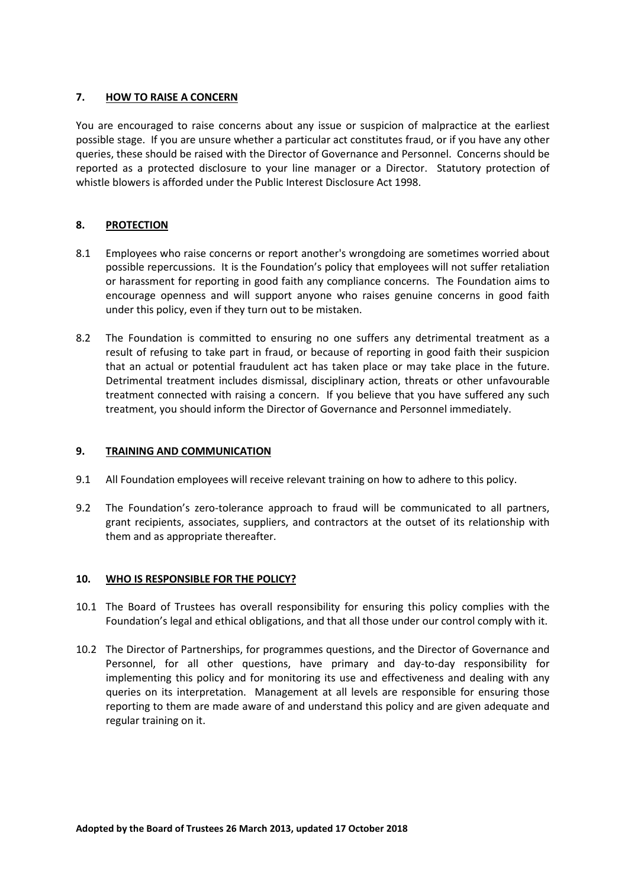## **7. HOW TO RAISE A CONCERN**

You are encouraged to raise concerns about any issue or suspicion of malpractice at the earliest possible stage. If you are unsure whether a particular act constitutes fraud, or if you have any other queries, these should be raised with the Director of Governance and Personnel. Concerns should be reported as a protected disclosure to your line manager or a Director. Statutory protection of whistle blowers is afforded under the Public Interest Disclosure Act 1998.

## **8. PROTECTION**

- 8.1 Employees who raise concerns or report another's wrongdoing are sometimes worried about possible repercussions. It is the Foundation's policy that employees will not suffer retaliation or harassment for reporting in good faith any compliance concerns. The Foundation aims to encourage openness and will support anyone who raises genuine concerns in good faith under this policy, even if they turn out to be mistaken.
- 8.2 The Foundation is committed to ensuring no one suffers any detrimental treatment as a result of refusing to take part in fraud, or because of reporting in good faith their suspicion that an actual or potential fraudulent act has taken place or may take place in the future. Detrimental treatment includes dismissal, disciplinary action, threats or other unfavourable treatment connected with raising a concern. If you believe that you have suffered any such treatment, you should inform the Director of Governance and Personnel immediately.

## **9. TRAINING AND COMMUNICATION**

- 9.1 All Foundation employees will receive relevant training on how to adhere to this policy.
- 9.2 The Foundation's zero-tolerance approach to fraud will be communicated to all partners, grant recipients, associates, suppliers, and contractors at the outset of its relationship with them and as appropriate thereafter.

## **10. WHO IS RESPONSIBLE FOR THE POLICY?**

- 10.1 The Board of Trustees has overall responsibility for ensuring this policy complies with the Foundation's legal and ethical obligations, and that all those under our control comply with it.
- 10.2 The Director of Partnerships, for programmes questions, and the Director of Governance and Personnel, for all other questions, have primary and day-to-day responsibility for implementing this policy and for monitoring its use and effectiveness and dealing with any queries on its interpretation. Management at all levels are responsible for ensuring those reporting to them are made aware of and understand this policy and are given adequate and regular training on it.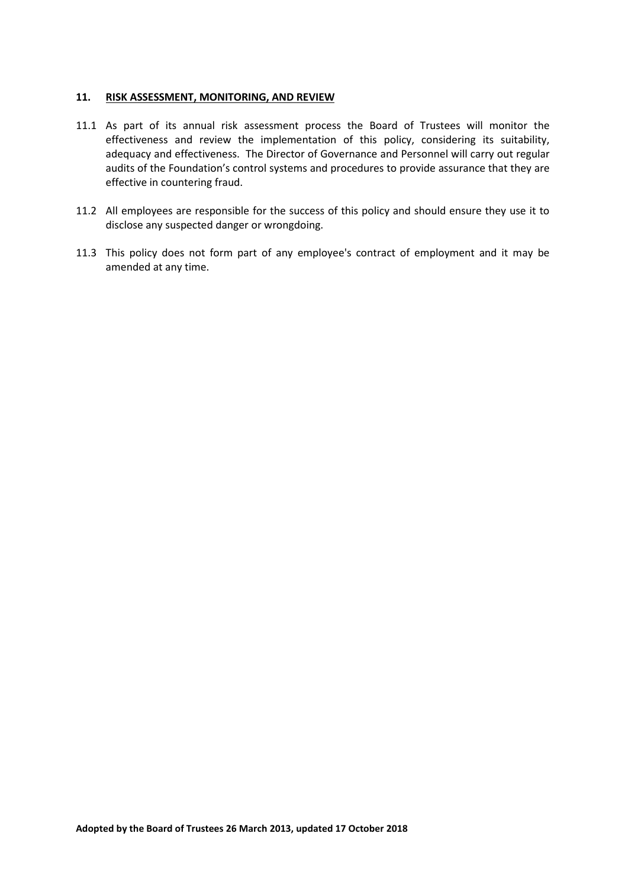## **11. RISK ASSESSMENT, MONITORING, AND REVIEW**

- 11.1 As part of its annual risk assessment process the Board of Trustees will monitor the effectiveness and review the implementation of this policy, considering its suitability, adequacy and effectiveness. The Director of Governance and Personnel will carry out regular audits of the Foundation's control systems and procedures to provide assurance that they are effective in countering fraud.
- 11.2 All employees are responsible for the success of this policy and should ensure they use it to disclose any suspected danger or wrongdoing.
- 11.3 This policy does not form part of any employee's contract of employment and it may be amended at any time.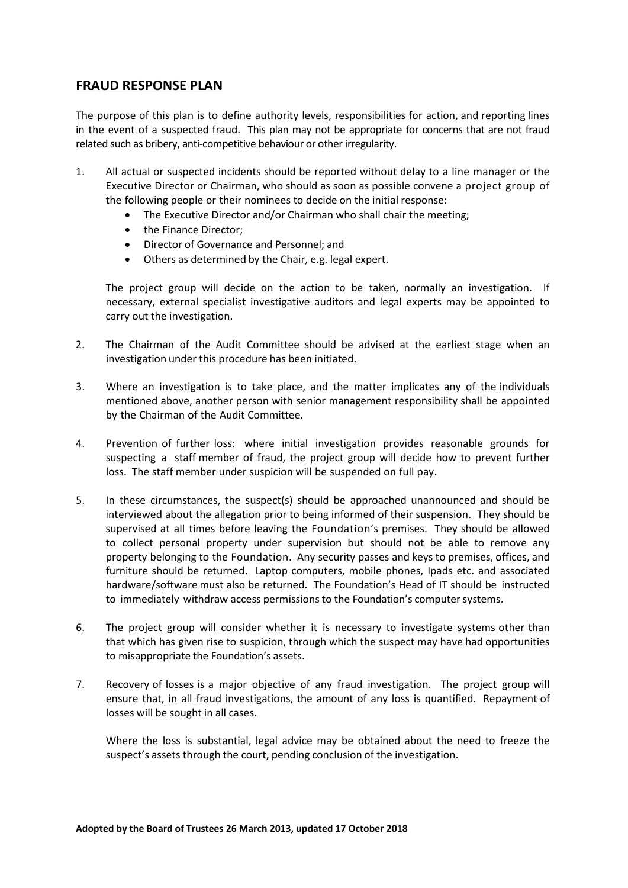# **FRAUD RESPONSE PLAN**

The purpose of this plan is to define authority levels, responsibilities for action, and reporting lines in the event of a suspected fraud. This plan may not be appropriate for concerns that are not fraud related such as bribery, anti-competitive behaviour or other irregularity.

- 1. All actual or suspected incidents should be reported without delay to a line manager or the Executive Director or Chairman, who should as soon as possible convene a project group of the following people or their nominees to decide on the initial response:
	- The Executive Director and/or Chairman who shall chair the meeting;
	- the Finance Director:
	- Director of Governance and Personnel; and
	- Others as determined by the Chair, e.g. legal expert.

The project group will decide on the action to be taken, normally an investigation. If necessary, external specialist investigative auditors and legal experts may be appointed to carry out the investigation.

- 2. The Chairman of the Audit Committee should be advised at the earliest stage when an investigation under this procedure has been initiated.
- 3. Where an investigation is to take place, and the matter implicates any of the individuals mentioned above, another person with senior management responsibility shall be appointed by the Chairman of the Audit Committee.
- 4. Prevention of further loss: where initial investigation provides reasonable grounds for suspecting a staff member of fraud, the project group will decide how to prevent further loss. The staff member under suspicion will be suspended on full pay.
- 5. In these circumstances, the suspect(s) should be approached unannounced and should be interviewed about the allegation prior to being informed of their suspension. They should be supervised at all times before leaving the Foundation's premises. They should be allowed to collect personal property under supervision but should not be able to remove any property belonging to the Foundation. Any security passes and keys to premises, offices, and furniture should be returned. Laptop computers, mobile phones, Ipads etc. and associated hardware/software must also be returned. The Foundation's Head of IT should be instructed to immediately withdraw access permissions to the Foundation's computer systems.
- 6. The project group will consider whether it is necessary to investigate systems other than that which has given rise to suspicion, through which the suspect may have had opportunities to misappropriate the Foundation's assets.
- 7. Recovery of losses is a major objective of any fraud investigation. The project group will ensure that, in all fraud investigations, the amount of any loss is quantified. Repayment of losses will be sought in all cases.

Where the loss is substantial, legal advice may be obtained about the need to freeze the suspect's assets through the court, pending conclusion of the investigation.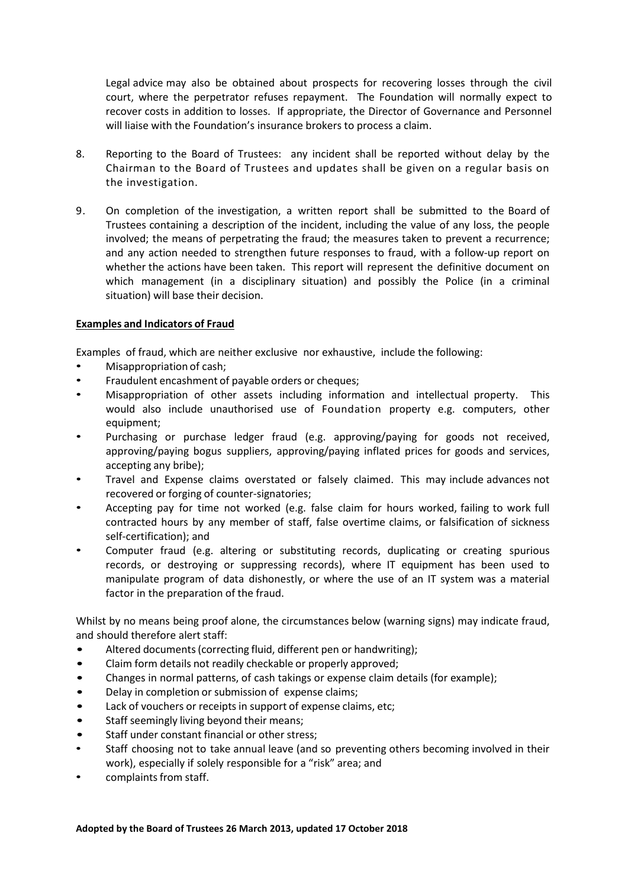Legal advice may also be obtained about prospects for recovering losses through the civil court, where the perpetrator refuses repayment. The Foundation will normally expect to recover costs in addition to losses. If appropriate, the Director of Governance and Personnel will liaise with the Foundation's insurance brokers to process a claim.

- 8. Reporting to the Board of Trustees: any incident shall be reported without delay by the Chairman to the Board of Trustees and updates shall be given on a regular basis on the investigation.
- 9. On completion of the investigation, a written report shall be submitted to the Board of Trustees containing a description of the incident, including the value of any loss, the people involved; the means of perpetrating the fraud; the measures taken to prevent a recurrence; and any action needed to strengthen future responses to fraud, with a follow-up report on whether the actions have been taken. This report will represent the definitive document on which management (in a disciplinary situation) and possibly the Police (in a criminal situation) will base their decision.

## **Examples and Indicators of Fraud**

Examples of fraud, which are neither exclusive nor exhaustive, include the following:

- Misappropriation of cash;
- Fraudulent encashment of payable orders or cheques;
- Misappropriation of other assets including information and intellectual property. This would also include unauthorised use of Foundation property e.g. computers, other equipment;
- Purchasing or purchase ledger fraud (e.g. approving/paying for goods not received, approving/paying bogus suppliers, approving/paying inflated prices for goods and services, accepting any bribe);
- Travel and Expense claims overstated or falsely claimed. This may include advances not recovered or forging of counter-signatories;
- Accepting pay for time not worked (e.g. false claim for hours worked, failing to work full contracted hours by any member of staff, false overtime claims, or falsification of sickness self-certification); and
- Computer fraud (e.g. altering or substituting records, duplicating or creating spurious records, or destroying or suppressing records), where IT equipment has been used to manipulate program of data dishonestly, or where the use of an IT system was a material factor in the preparation of the fraud.

Whilst by no means being proof alone, the circumstances below (warning signs) may indicate fraud, and should therefore alert staff:

- Altered documents (correcting fluid, different pen or handwriting);
- Claim form details not readily checkable or properly approved;
- Changes in normal patterns, of cash takings or expense claim details (for example);
- Delay in completion or submission of expense claims;
- Lack of vouchers or receipts in support of expense claims, etc;
- Staff seemingly living beyond their means;
- Staff under constant financial or other stress;
- Staff choosing not to take annual leave (and so preventing others becoming involved in their work), especially if solely responsible for a "risk" area; and
- complaints from staff.